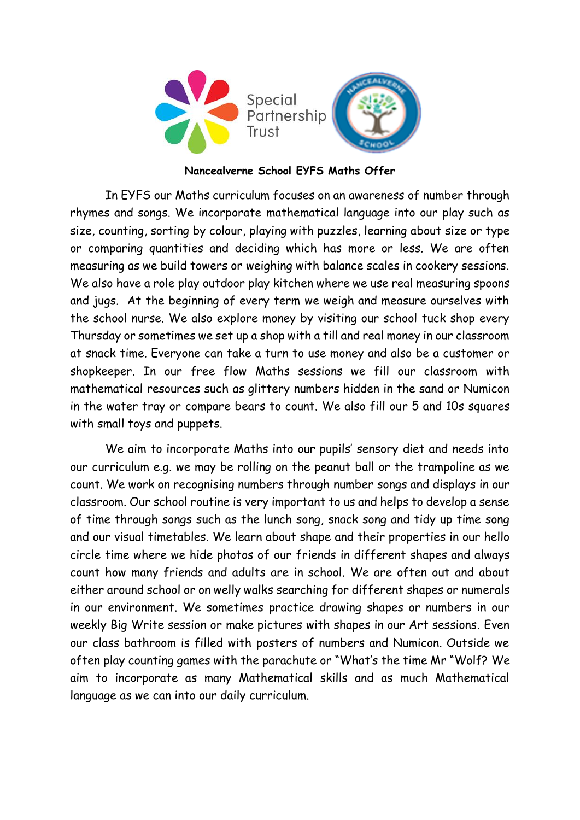

## **Nancealverne School EYFS Maths Offer**

In EYFS our Maths curriculum focuses on an awareness of number through rhymes and songs. We incorporate mathematical language into our play such as size, counting, sorting by colour, playing with puzzles, learning about size or type or comparing quantities and deciding which has more or less. We are often measuring as we build towers or weighing with balance scales in cookery sessions. We also have a role play outdoor play kitchen where we use real measuring spoons and jugs. At the beginning of every term we weigh and measure ourselves with the school nurse. We also explore money by visiting our school tuck shop every Thursday or sometimes we set up a shop with a till and real money in our classroom at snack time. Everyone can take a turn to use money and also be a customer or shopkeeper. In our free flow Maths sessions we fill our classroom with mathematical resources such as glittery numbers hidden in the sand or Numicon in the water tray or compare bears to count. We also fill our 5 and 10s squares with small toys and puppets.

We aim to incorporate Maths into our pupils' sensory diet and needs into our curriculum e.g. we may be rolling on the peanut ball or the trampoline as we count. We work on recognising numbers through number songs and displays in our classroom. Our school routine is very important to us and helps to develop a sense of time through songs such as the lunch song, snack song and tidy up time song and our visual timetables. We learn about shape and their properties in our hello circle time where we hide photos of our friends in different shapes and always count how many friends and adults are in school. We are often out and about either around school or on welly walks searching for different shapes or numerals in our environment. We sometimes practice drawing shapes or numbers in our weekly Big Write session or make pictures with shapes in our Art sessions. Even our class bathroom is filled with posters of numbers and Numicon. Outside we often play counting games with the parachute or "What's the time Mr "Wolf? We aim to incorporate as many Mathematical skills and as much Mathematical language as we can into our daily curriculum.